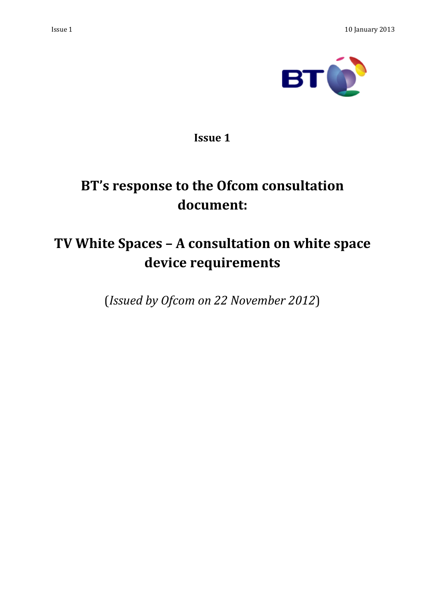



**Issue 1**

# **BT's response to the Ofcom consultation document:**

## **TV White Spaces – A consultation on white space device requirements**

(*Issued by Ofcom on 22 November 2012*)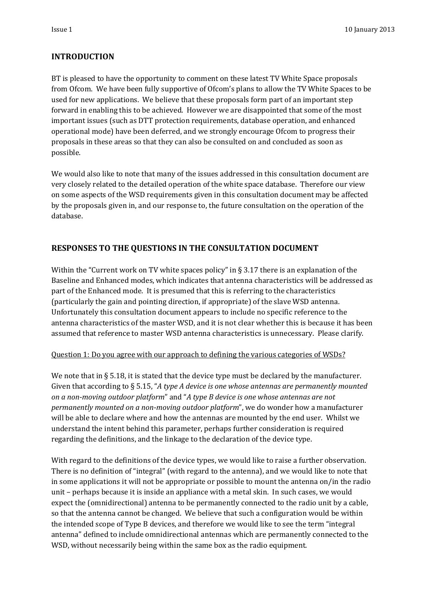#### **INTRODUCTION**

BT is pleased to have the opportunity to comment on these latest TV White Space proposals from Ofcom. We have been fully supportive of Ofcom's plans to allow the TV White Spaces to be used for new applications. We believe that these proposals form part of an important step forward in enabling this to be achieved. However we are disappointed that some of the most important issues (such as DTT protection requirements, database operation, and enhanced operational mode) have been deferred, and we strongly encourage Ofcom to progress their proposals in these areas so that they can also be consulted on and concluded as soon as possible.

We would also like to note that many of the issues addressed in this consultation document are very closely related to the detailed operation of the white space database. Therefore our view on some aspects of the WSD requirements given in this consultation document may be affected by the proposals given in, and our response to, the future consultation on the operation of the database.

## **RESPONSES TO THE QUESTIONS IN THE CONSULTATION DOCUMENT**

Within the "Current work on TV white spaces policy" in  $\S 3.17$  there is an explanation of the Baseline and Enhanced modes, which indicates that antenna characteristics will be addressed as part of the Enhanced mode. It is presumed that this is referring to the characteristics (particularly the gain and pointing direction, if appropriate) of the slave WSD antenna. Unfortunately this consultation document appears to include no specific reference to the antenna characteristics of the master WSD, and it is not clear whether this is because it has been assumed that reference to master WSD antenna characteristics is unnecessary. Please clarify.

#### Question 1: Do you agree with our approach to defining the various categories of WSDs?

We note that in § 5.18, it is stated that the device type must be declared by the manufacturer. Given that according to § 5.15, "*A type A device is one whose antennas are permanently mounted on a non-moving outdoor platform*" and "*A type B device is one whose antennas are not permanently mounted on a non-moving outdoor platform*", we do wonder how a manufacturer will be able to declare where and how the antennas are mounted by the end user. Whilst we understand the intent behind this parameter, perhaps further consideration is required regarding the definitions, and the linkage to the declaration of the device type.

With regard to the definitions of the device types, we would like to raise a further observation. There is no definition of "integral" (with regard to the antenna), and we would like to note that in some applications it will not be appropriate or possible to mount the antenna on/in the radio unit – perhaps because it is inside an appliance with a metal skin. In such cases, we would expect the (omnidirectional) antenna to be permanently connected to the radio unit by a cable, so that the antenna cannot be changed. We believe that such a configuration would be within the intended scope of Type B devices, and therefore we would like to see the term "integral antenna" defined to include omnidirectional antennas which are permanently connected to the WSD, without necessarily being within the same box as the radio equipment.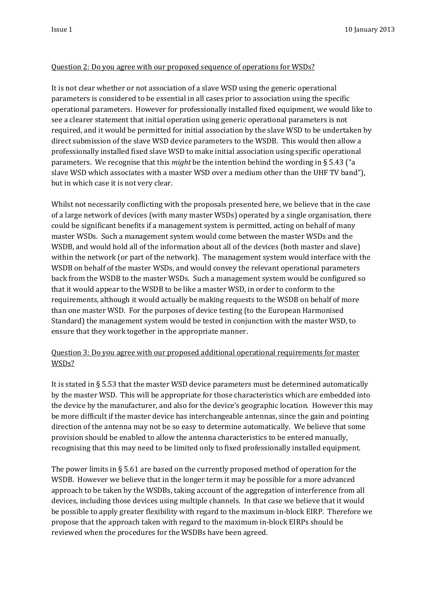#### Question 2: Do you agree with our proposed sequence of operations for WSDs?

It is not clear whether or not association of a slave WSD using the generic operational parameters is considered to be essential in all cases prior to association using the specific operational parameters. However for professionally installed fixed equipment, we would like to see a clearer statement that initial operation using generic operational parameters is not required, and it would be permitted for initial association by the slave WSD to be undertaken by direct submission of the slave WSD device parameters to the WSDB. This would then allow a professionally installed fixed slave WSD to make initial association using specific operational parameters. We recognise that this *might* be the intention behind the wording in § 5.43 ("a slave WSD which associates with a master WSD over a medium other than the UHF TV band"), but in which case it is not very clear.

Whilst not necessarily conflicting with the proposals presented here, we believe that in the case of a large network of devices (with many master WSDs) operated by a single organisation, there could be significant benefits if a management system is permitted, acting on behalf of many master WSDs. Such a management system would come between the master WSDs and the WSDB, and would hold all of the information about all of the devices (both master and slave) within the network (or part of the network). The management system would interface with the WSDB on behalf of the master WSDs, and would convey the relevant operational parameters back from the WSDB to the master WSDs. Such a management system would be configured so that it would appear to the WSDB to be like a master WSD, in order to conform to the requirements, although it would actually be making requests to the WSDB on behalf of more than one master WSD. For the purposes of device testing (to the European Harmonised Standard) the management system would be tested in conjunction with the master WSD, to ensure that they work together in the appropriate manner.

### Question 3: Do you agree with our proposed additional operational requirements for master WSDs?

It is stated in § 5.53 that the master WSD device parameters must be determined automatically by the master WSD. This will be appropriate for those characteristics which are embedded into the device by the manufacturer, and also for the device's geographic location. However this may be more difficult if the master device has interchangeable antennas, since the gain and pointing direction of the antenna may not be so easy to determine automatically. We believe that some provision should be enabled to allow the antenna characteristics to be entered manually, recognising that this may need to be limited only to fixed professionally installed equipment.

The power limits in § 5.61 are based on the currently proposed method of operation for the WSDB. However we believe that in the longer term it may be possible for a more advanced approach to be taken by the WSDBs, taking account of the aggregation of interference from all devices, including those devices using multiple channels. In that case we believe that it would be possible to apply greater flexibility with regard to the maximum in-block EIRP. Therefore we propose that the approach taken with regard to the maximum in-block EIRPs should be reviewed when the procedures for the WSDBs have been agreed.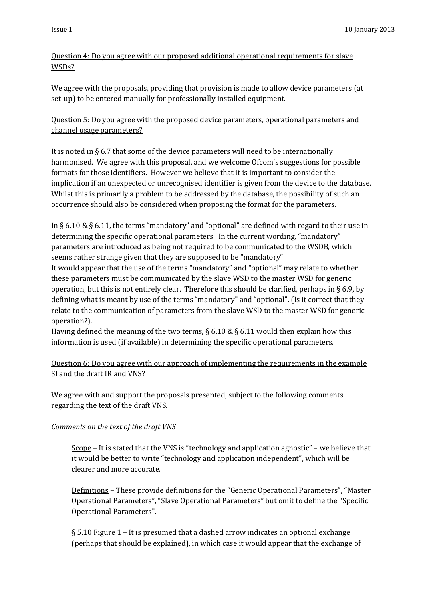## Question 4: Do you agree with our proposed additional operational requirements for slave WSDs?

We agree with the proposals, providing that provision is made to allow device parameters (at set-up) to be entered manually for professionally installed equipment.

## Question 5: Do you agree with the proposed device parameters, operational parameters and channel usage parameters?

It is noted in § 6.7 that some of the device parameters will need to be internationally harmonised. We agree with this proposal, and we welcome Ofcom's suggestions for possible formats for those identifiers. However we believe that it is important to consider the implication if an unexpected or unrecognised identifier is given from the device to the database. Whilst this is primarily a problem to be addressed by the database, the possibility of such an occurrence should also be considered when proposing the format for the parameters.

In § 6.10 & § 6.11, the terms "mandatory" and "optional" are defined with regard to their use in determining the specific operational parameters. In the current wording, "mandatory" parameters are introduced as being not required to be communicated to the WSDB, which seems rather strange given that they are supposed to be "mandatory".

It would appear that the use of the terms "mandatory" and "optional" may relate to whether these parameters must be communicated by the slave WSD to the master WSD for generic operation, but this is not entirely clear. Therefore this should be clarified, perhaps in § 6.9, by defining what is meant by use of the terms "mandatory" and "optional". (Is it correct that they relate to the communication of parameters from the slave WSD to the master WSD for generic operation?).

Having defined the meaning of the two terms,  $\S 6.10 \& \S 6.11$  would then explain how this information is used (if available) in determining the specific operational parameters.

Question 6: Do you agree with our approach of implementing the requirements in the example SI and the draft IR and VNS?

We agree with and support the proposals presented, subject to the following comments regarding the text of the draft VNS.

## *Comments on the text of the draft VNS*

Scope – It is stated that the VNS is "technology and application agnostic" – we believe that it would be better to write "technology and application independent", which will be clearer and more accurate.

Definitions – These provide definitions for the "Generic Operational Parameters", "Master Operational Parameters", "Slave Operational Parameters" but omit to define the "Specific Operational Parameters".

§ 5.10 Figure 1 – It is presumed that a dashed arrow indicates an optional exchange (perhaps that should be explained), in which case it would appear that the exchange of